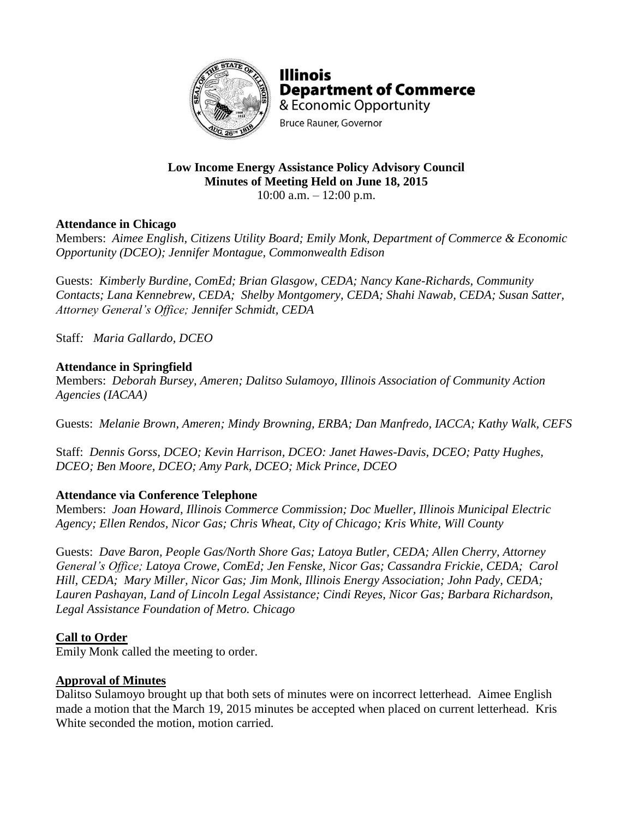

**Illinois Department of Commerce** & Economic Opportunity **Bruce Rauner, Governor** 

# **Low Income Energy Assistance Policy Advisory Council Minutes of Meeting Held on June 18, 2015**

10:00 a.m. – 12:00 p.m.

### **Attendance in Chicago**

Members: *Aimee English, Citizens Utility Board; Emily Monk, Department of Commerce & Economic Opportunity (DCEO); Jennifer Montague, Commonwealth Edison* 

Guests: *Kimberly Burdine, ComEd; Brian Glasgow, CEDA; Nancy Kane-Richards, Community Contacts; Lana Kennebrew, CEDA; Shelby Montgomery, CEDA; Shahi Nawab, CEDA; Susan Satter, Attorney General's Office; Jennifer Schmidt, CEDA*

Staff*: Maria Gallardo, DCEO*

### **Attendance in Springfield**

Members: *Deborah Bursey, Ameren; Dalitso Sulamoyo, Illinois Association of Community Action Agencies (IACAA)*

Guests: *Melanie Brown, Ameren; Mindy Browning, ERBA; Dan Manfredo, IACCA; Kathy Walk, CEFS*

Staff: *Dennis Gorss, DCEO; Kevin Harrison, DCEO: Janet Hawes-Davis, DCEO; Patty Hughes, DCEO; Ben Moore, DCEO; Amy Park, DCEO; Mick Prince, DCEO*

## **Attendance via Conference Telephone**

Members: *Joan Howard, Illinois Commerce Commission; Doc Mueller, Illinois Municipal Electric Agency; Ellen Rendos, Nicor Gas; Chris Wheat, City of Chicago; Kris White, Will County*

Guests: *Dave Baron, People Gas/North Shore Gas; Latoya Butler, CEDA; Allen Cherry, Attorney General's Office; Latoya Crowe, ComEd; Jen Fenske, Nicor Gas; Cassandra Frickie, CEDA; Carol Hill, CEDA; Mary Miller, Nicor Gas; Jim Monk, Illinois Energy Association; John Pady, CEDA; Lauren Pashayan, Land of Lincoln Legal Assistance; Cindi Reyes, Nicor Gas; Barbara Richardson, Legal Assistance Foundation of Metro. Chicago*

## **Call to Order**

Emily Monk called the meeting to order.

### **Approval of Minutes**

Dalitso Sulamoyo brought up that both sets of minutes were on incorrect letterhead. Aimee English made a motion that the March 19, 2015 minutes be accepted when placed on current letterhead. Kris White seconded the motion, motion carried.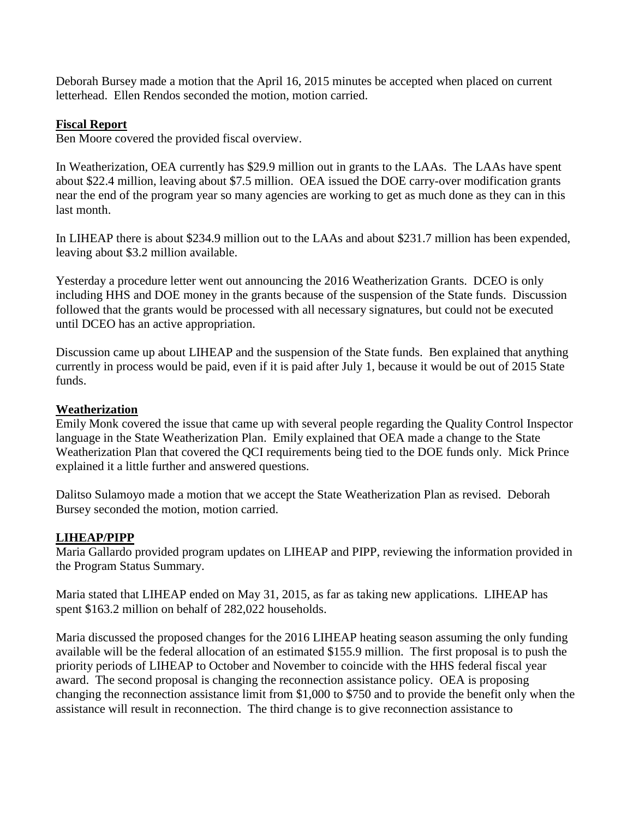Deborah Bursey made a motion that the April 16, 2015 minutes be accepted when placed on current letterhead. Ellen Rendos seconded the motion, motion carried.

#### **Fiscal Report**

Ben Moore covered the provided fiscal overview.

In Weatherization, OEA currently has \$29.9 million out in grants to the LAAs. The LAAs have spent about \$22.4 million, leaving about \$7.5 million. OEA issued the DOE carry-over modification grants near the end of the program year so many agencies are working to get as much done as they can in this last month.

In LIHEAP there is about \$234.9 million out to the LAAs and about \$231.7 million has been expended, leaving about \$3.2 million available.

Yesterday a procedure letter went out announcing the 2016 Weatherization Grants. DCEO is only including HHS and DOE money in the grants because of the suspension of the State funds. Discussion followed that the grants would be processed with all necessary signatures, but could not be executed until DCEO has an active appropriation.

Discussion came up about LIHEAP and the suspension of the State funds. Ben explained that anything currently in process would be paid, even if it is paid after July 1, because it would be out of 2015 State funds.

#### **Weatherization**

Emily Monk covered the issue that came up with several people regarding the Quality Control Inspector language in the State Weatherization Plan. Emily explained that OEA made a change to the State Weatherization Plan that covered the QCI requirements being tied to the DOE funds only. Mick Prince explained it a little further and answered questions.

Dalitso Sulamoyo made a motion that we accept the State Weatherization Plan as revised. Deborah Bursey seconded the motion, motion carried.

#### **LIHEAP/PIPP**

Maria Gallardo provided program updates on LIHEAP and PIPP, reviewing the information provided in the Program Status Summary.

Maria stated that LIHEAP ended on May 31, 2015, as far as taking new applications. LIHEAP has spent \$163.2 million on behalf of 282,022 households.

Maria discussed the proposed changes for the 2016 LIHEAP heating season assuming the only funding available will be the federal allocation of an estimated \$155.9 million. The first proposal is to push the priority periods of LIHEAP to October and November to coincide with the HHS federal fiscal year award. The second proposal is changing the reconnection assistance policy. OEA is proposing changing the reconnection assistance limit from \$1,000 to \$750 and to provide the benefit only when the assistance will result in reconnection. The third change is to give reconnection assistance to